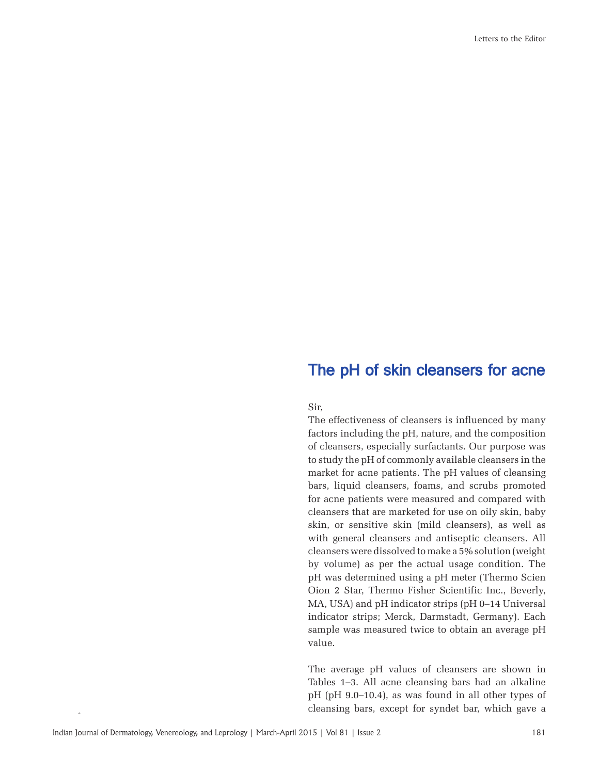## The pH of skin cleansers for acne

Sir,

The effectiveness of cleansers is influenced by many factors including the pH, nature, and the composition of cleansers, especially surfactants. Our purpose was to study the pH of commonly available cleansers in the market for acne patients. The pH values of cleansing bars, liquid cleansers, foams, and scrubs promoted for acne patients were measured and compared with cleansers that are marketed for use on oily skin, baby skin, or sensitive skin (mild cleansers), as well as with general cleansers and antiseptic cleansers. All cleansers were dissolved to make a 5% solution (weight by volume) as per the actual usage condition. The pH was determined using a pH meter (Thermo Scien Oion 2 Star, Thermo Fisher Scientific Inc., Beverly, MA, USA) and pH indicator strips (pH 0–14 Universal indicator strips; Merck, Darmstadt, Germany). Each sample was measured twice to obtain an average pH value.

The average pH values of cleansers are shown in Tables 1–3. All acne cleansing bars had an alkaline pH (pH 9.0–10.4), as was found in all other types of cleansing bars, except for syndet bar, which gave a

Rep 2011;60:133-7.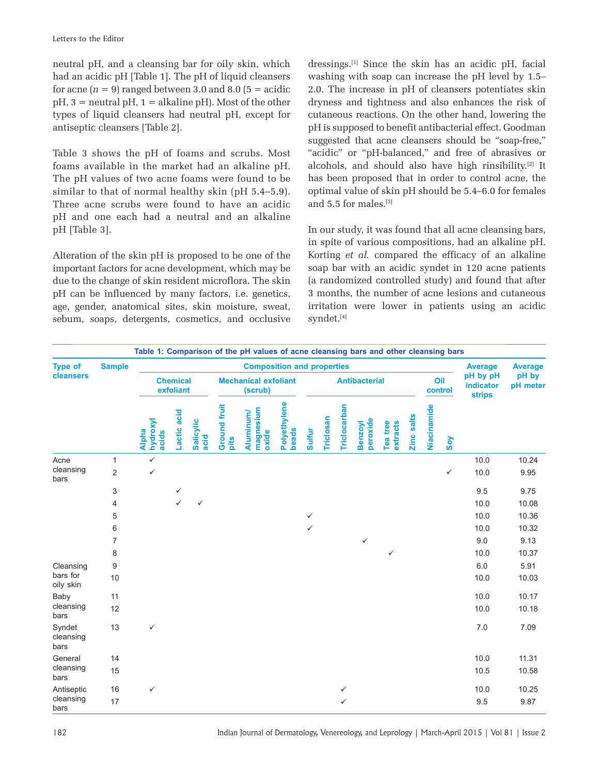neutral pH, and a cleansing bar for oily skin, which had an acidic pH [Table 1]. The pH of liquid cleansers for acne  $(n = 9)$  ranged between 3.0 and 8.0  $(5 = \text{acidic})$  $pH$ ,  $3 =$  neutral  $pH$ ,  $1 =$  alkaline  $pH$ ). Most of the other types of liquid cleansers had neutral pH, except for antiseptic cleansers [Table 2].

Table 3 shows the pH of foams and scrubs. Most foams available in the market had an alkaline pH. The pH values of two acne foams were found to be similar to that of normal healthy skin (pH 5.4–5.9). Three acne scrubs were found to have an acidic pH and one each had a neutral and an alkaline pH [Table 3].

Alteration of the skin pH is proposed to be one of the important factors for acne development, which may be due to the change of skin resident microflora. The skin pH can be influenced by many factors, i.e. genetics, age, gender, anatomical sites, skin moisture, sweat, sebum, soaps, detergents, cosmetics, and occlusive dressings.[1] Since the skin has an acidic pH, facial washing with soap can increase the pH level by 1.5– 2.0. The increase in pH of cleansers potentiates skin dryness and tightness and also enhances the risk of cutaneous reactions. On the other hand, lowering the pH is supposed to benefit antibacterial effect. Goodman suggested that acne cleansers should be "soap-free," "acidic" or "pH-balanced," and free of abrasives or alcohols, and should also have high rinsibility.[2] It has been proposed that in order to control acne, the optimal value of skin pH should be 5.4–6.0 for females and 5.5 for males.[3]

In our study, it was found that all acne cleansing bars, in spite of various compositions, had an alkaline pH. Korting *et al.* compared the efficacy of an alkaline soap bar with an acidic syndet in 120 acne patients (a randomized controlled study) and found that after 3 months, the number of acne lesions and cutaneous irritation were lower in patients using an acidic syndet.[4]

|                             |                |                                   |              |                          |                                        | Table 1: Comparison of the pH values of acne cleansing bars and other cleansing bars |                       |                      |           |              |                     |                      |            |             |                |                                        |                   |
|-----------------------------|----------------|-----------------------------------|--------------|--------------------------|----------------------------------------|--------------------------------------------------------------------------------------|-----------------------|----------------------|-----------|--------------|---------------------|----------------------|------------|-------------|----------------|----------------------------------------|-------------------|
| <b>Type of</b>              | <b>Sample</b>  |                                   |              |                          |                                        | <b>Composition and properties</b>                                                    |                       |                      |           |              |                     |                      |            |             |                | <b>Average</b>                         | <b>Average</b>    |
| cleansers                   |                | <b>Chemical</b><br>exfoliant      |              |                          | <b>Mechanical exfoliant</b><br>(scrub) |                                                                                      |                       | <b>Antibacterial</b> |           |              |                     |                      |            |             | Oil<br>control | pH by pH<br>indicator<br><b>strips</b> | pH by<br>pH meter |
|                             |                | hydroxyl<br><b>Alpha</b><br>acids | Lactic acid  | <b>Salicylic</b><br>acid | Ground fruit<br>pits                   | magnesium<br>Aluminum/<br>oxide                                                      | Polyethylene<br>beads | <b>Sulfur</b>        | Triclosan | Triclocarban | Benzoyl<br>peroxide | extracts<br>Tea tree | Zinc salts | Niacinamide | $\mathsf{Sov}$ |                                        |                   |
| Acne                        | $\mathbf{1}$   | $\checkmark$                      |              |                          |                                        |                                                                                      |                       |                      |           |              |                     |                      |            |             |                | 10.0                                   | 10.24             |
| cleansing<br>bars           | $\overline{c}$ | $\checkmark$                      |              |                          |                                        |                                                                                      |                       |                      |           |              |                     |                      |            |             | $\checkmark$   | 10.0                                   | 9.95              |
|                             | 3              |                                   | ✓            |                          |                                        |                                                                                      |                       |                      |           |              |                     |                      |            |             |                | 9.5                                    | 9.75              |
|                             | 4              |                                   | $\checkmark$ | $\checkmark$             |                                        |                                                                                      |                       |                      |           |              |                     |                      |            |             |                | 10.0                                   | 10.08             |
|                             | 5              |                                   |              |                          |                                        |                                                                                      |                       | $\checkmark$         |           |              |                     |                      |            |             |                | 10.0                                   | 10.36             |
|                             | 6              |                                   |              |                          |                                        |                                                                                      |                       | $\checkmark$         |           |              |                     |                      |            |             |                | 10.0                                   | 10.32             |
|                             | $\overline{7}$ |                                   |              |                          |                                        |                                                                                      |                       |                      |           |              | $\checkmark$        |                      |            |             |                | 9.0                                    | 9.13              |
|                             | 8              |                                   |              |                          |                                        |                                                                                      |                       |                      |           |              |                     | ✓                    |            |             |                | 10.0                                   | 10.37             |
| Cleansing                   | 9              |                                   |              |                          |                                        |                                                                                      |                       |                      |           |              |                     |                      |            |             |                | 6.0                                    | 5.91              |
| bars for<br>oily skin       | 10             |                                   |              |                          |                                        |                                                                                      |                       |                      |           |              |                     |                      |            |             |                | 10.0                                   | 10.03             |
| Baby                        | 11             |                                   |              |                          |                                        |                                                                                      |                       |                      |           |              |                     |                      |            |             |                | 10.0                                   | 10.17             |
| cleansing<br>bars           | 12             |                                   |              |                          |                                        |                                                                                      |                       |                      |           |              |                     |                      |            |             |                | 10.0                                   | 10.18             |
| Syndet<br>cleansing<br>bars | 13             | ✓                                 |              |                          |                                        |                                                                                      |                       |                      |           |              |                     |                      |            |             |                | 7.0                                    | 7.09              |
| General                     | 14             |                                   |              |                          |                                        |                                                                                      |                       |                      |           |              |                     |                      |            |             |                | 10.0                                   | 11.31             |
| cleansing<br>bars           | 15             |                                   |              |                          |                                        |                                                                                      |                       |                      |           |              |                     |                      |            |             |                | 10.5                                   | 10.58             |
| Antiseptic                  | 16             | $\checkmark$                      |              |                          |                                        |                                                                                      |                       |                      |           | ✓            |                     |                      |            |             |                | 10.0                                   | 10.25             |
| cleansing<br>bars           | 17             |                                   |              |                          |                                        |                                                                                      |                       |                      |           | ✓            |                     |                      |            |             |                | 9.5                                    | 9.87              |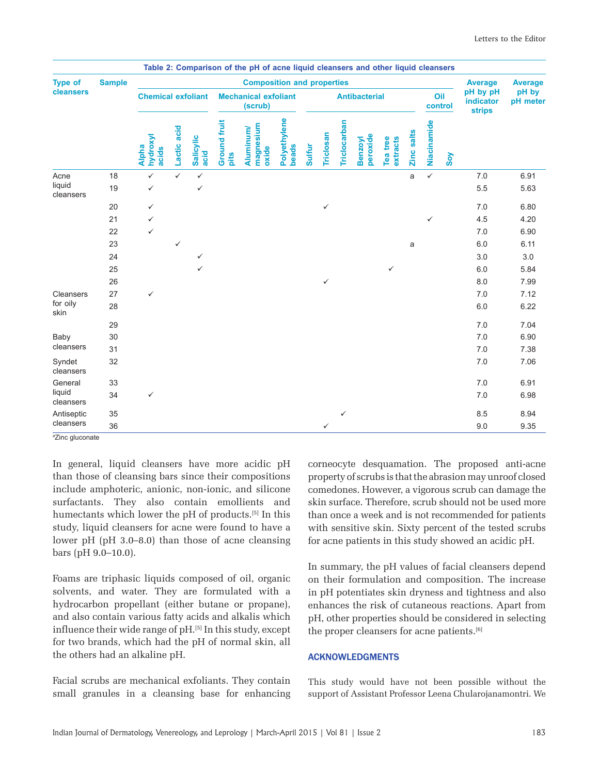|                             |               |                                   |              |                   |                                        | Table 2: Comparison of the pH of acne liquid cleansers and other liquid cleansers<br><b>Composition and properties</b> |                       |                      |                  |              |                     |                      |            |              |                |                                        |                   |
|-----------------------------|---------------|-----------------------------------|--------------|-------------------|----------------------------------------|------------------------------------------------------------------------------------------------------------------------|-----------------------|----------------------|------------------|--------------|---------------------|----------------------|------------|--------------|----------------|----------------------------------------|-------------------|
| <b>Type of</b><br>cleansers | <b>Sample</b> |                                   |              |                   | <b>Average</b>                         | <b>Average</b>                                                                                                         |                       |                      |                  |              |                     |                      |            |              |                |                                        |                   |
|                             |               | <b>Chemical exfoliant</b>         |              |                   | <b>Mechanical exfoliant</b><br>(scrub) |                                                                                                                        |                       | <b>Antibacterial</b> |                  |              |                     |                      |            |              | Oil<br>control | pH by pH<br>indicator<br><b>strips</b> | pH by<br>pH meter |
|                             |               | hydroxyl<br><b>Alpha</b><br>acids | Lactic acid  | Salicylic<br>acid | <b>Ground fruit</b><br>pits            | magnesium<br>Aluminum/<br>oxide                                                                                        | Polyethylene<br>beads | <b>Sulfur</b>        | <b>Triclosan</b> | Triclocarban | Benzoyl<br>peroxide | extracts<br>Tea tree | Zinc salts | Niacinamide  | Soy            |                                        |                   |
| Acne                        | 18            | $\checkmark$                      | $\checkmark$ | $\checkmark$      |                                        |                                                                                                                        |                       |                      |                  |              |                     |                      | a          | $\checkmark$ |                | 7.0                                    | 6.91              |
| liquid<br>cleansers         | 19            | $\checkmark$                      |              | $\checkmark$      |                                        |                                                                                                                        |                       |                      |                  |              |                     |                      |            |              |                | 5.5                                    | 5.63              |
|                             | 20            | $\checkmark$                      |              |                   |                                        |                                                                                                                        |                       |                      | ✓                |              |                     |                      |            |              |                | 7.0                                    | 6.80              |
|                             | 21            | ✓                                 |              |                   |                                        |                                                                                                                        |                       |                      |                  |              |                     |                      |            | $\checkmark$ |                | 4.5                                    | 4.20              |
|                             | 22            | ✓                                 |              |                   |                                        |                                                                                                                        |                       |                      |                  |              |                     |                      |            |              |                | 7.0                                    | 6.90              |
|                             | 23            |                                   | ✓            |                   |                                        |                                                                                                                        |                       |                      |                  |              |                     |                      | a          |              |                | 6.0                                    | 6.11              |
|                             | 24            |                                   |              | ✓                 |                                        |                                                                                                                        |                       |                      |                  |              |                     |                      |            |              |                | 3.0                                    | 3.0               |
|                             | 25            |                                   |              | ✓                 |                                        |                                                                                                                        |                       |                      |                  |              |                     | ✓                    |            |              |                | 6.0                                    | 5.84              |
|                             | 26            |                                   |              |                   |                                        |                                                                                                                        |                       |                      | $\checkmark$     |              |                     |                      |            |              |                | 8.0                                    | 7.99              |
| Cleansers                   | 27            | $\checkmark$                      |              |                   |                                        |                                                                                                                        |                       |                      |                  |              |                     |                      |            |              |                | 7.0                                    | 7.12              |
| for oily<br>skin            | 28            |                                   |              |                   |                                        |                                                                                                                        |                       |                      |                  |              |                     |                      |            |              |                | 6.0                                    | 6.22              |
|                             | 29            |                                   |              |                   |                                        |                                                                                                                        |                       |                      |                  |              |                     |                      |            |              |                | 7.0                                    | 7.04              |
| Baby                        | 30            |                                   |              |                   |                                        |                                                                                                                        |                       |                      |                  |              |                     |                      |            |              |                | 7.0                                    | 6.90              |
| cleansers                   | 31            |                                   |              |                   |                                        |                                                                                                                        |                       |                      |                  |              |                     |                      |            |              |                | 7.0                                    | 7.38              |
| Syndet<br>cleansers         | 32            |                                   |              |                   |                                        |                                                                                                                        |                       |                      |                  |              |                     |                      |            |              |                | 7.0                                    | 7.06              |
| General                     | 33            |                                   |              |                   |                                        |                                                                                                                        |                       |                      |                  |              |                     |                      |            |              |                | 7.0                                    | 6.91              |
| liquid<br>cleansers         | 34            | ✓                                 |              |                   |                                        |                                                                                                                        |                       |                      |                  |              |                     |                      |            |              |                | 7.0                                    | 6.98              |
| Antiseptic                  | 35            |                                   |              |                   |                                        |                                                                                                                        |                       |                      |                  | ✓            |                     |                      |            |              |                | 8.5                                    | 8.94              |
| cleansers                   | 36            |                                   |              |                   |                                        |                                                                                                                        |                       |                      | $\checkmark$     |              |                     |                      |            |              |                | 9.0                                    | 9.35              |

a Zinc gluconate

In general, liquid cleansers have more acidic pH than those of cleansing bars since their compositions include amphoteric, anionic, non-ionic, and silicone surfactants. They also contain emollients and humectants which lower the pH of products.[5] In this study, liquid cleansers for acne were found to have a lower pH (pH 3.0–8.0) than those of acne cleansing bars (pH 9.0–10.0).

Foams are triphasic liquids composed of oil, organic solvents, and water. They are formulated with a hydrocarbon propellant (either butane or propane), and also contain various fatty acids and alkalis which influence their wide range of  $pH$ .<sup>[5]</sup> In this study, except for two brands, which had the pH of normal skin, all the others had an alkaline pH.

Facial scrubs are mechanical exfoliants. They contain small granules in a cleansing base for enhancing corneocyte desquamation. The proposed anti-acne property of scrubs is that the abrasion may unroof closed comedones. However, a vigorous scrub can damage the skin surface. Therefore, scrub should not be used more than once a week and is not recommended for patients with sensitive skin. Sixty percent of the tested scrubs for acne patients in this study showed an acidic pH.

In summary, the pH values of facial cleansers depend on their formulation and composition. The increase in pH potentiates skin dryness and tightness and also enhances the risk of cutaneous reactions. Apart from pH, other properties should be considered in selecting the proper cleansers for acne patients.<sup>[6]</sup>

## **ACKNOWLEDGMENTS**

This study would have not been possible without the support of Assistant Professor Leena Chularojanamontri. We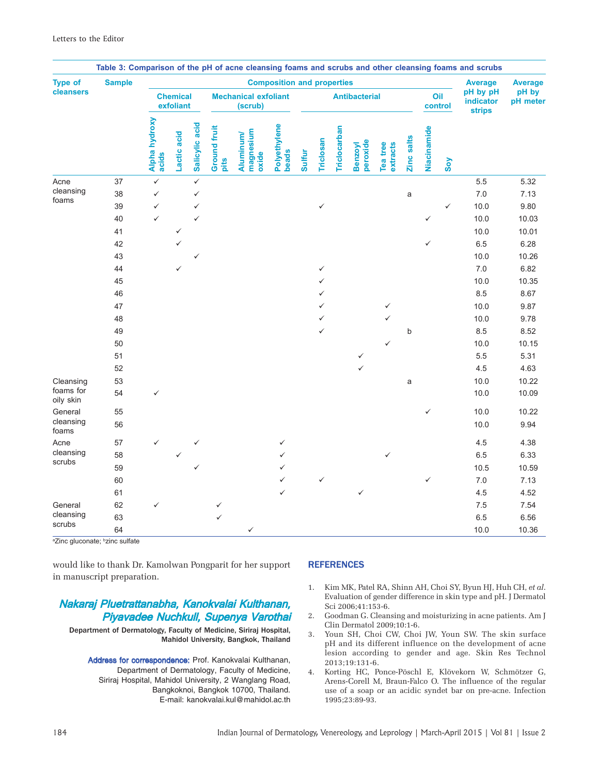| <b>Type of</b>         | <b>Sample</b> |                              |              |                |                                        |                                        | <b>Composition and properties</b> |               |              |              |                            |                      |            |                |              | <b>Average</b>                         | <b>Average</b>    |
|------------------------|---------------|------------------------------|--------------|----------------|----------------------------------------|----------------------------------------|-----------------------------------|---------------|--------------|--------------|----------------------------|----------------------|------------|----------------|--------------|----------------------------------------|-------------------|
| cleansers              |               | <b>Chemical</b><br>exfoliant |              |                | <b>Mechanical exfoliant</b><br>(scrub) |                                        |                                   |               |              |              | <b>Antibacterial</b>       |                      |            | Oil<br>control |              | pH by pH<br>indicator<br><b>strips</b> | pH by<br>pH meter |
|                        |               | Alpha hydroxy<br>acids       | Lactic acid  | Salicylic acid | <b>Ground fruit</b><br>pits            | magnesium<br><b>Aluminum/</b><br>oxide | Polyethylene<br>beads             | <b>Sulfur</b> | Triclosan    | Triclocarban | peroxide<br><b>Benzoyl</b> | Tea tree<br>extracts | Zinc salts | Niacinamide    | Soy          |                                        |                   |
| Acne                   | 37            | $\checkmark$                 |              | $\checkmark$   |                                        |                                        |                                   |               |              |              |                            |                      |            |                |              | 5.5                                    | 5.32              |
| cleansing              | 38            | $\checkmark$                 |              | $\checkmark$   |                                        |                                        |                                   |               |              |              |                            |                      | a          |                |              | $7.0$                                  | 7.13              |
| foams                  | 39            | $\checkmark$                 |              | $\checkmark$   |                                        |                                        |                                   |               | $\checkmark$ |              |                            |                      |            |                | $\checkmark$ | 10.0                                   | 9.80              |
|                        | 40            | $\checkmark$                 |              | $\checkmark$   |                                        |                                        |                                   |               |              |              |                            |                      |            | ✓              |              | 10.0                                   | 10.03             |
|                        | 41            |                              | ✓            |                |                                        |                                        |                                   |               |              |              |                            |                      |            |                |              | 10.0                                   | 10.01             |
|                        | 42            |                              | ✓            |                |                                        |                                        |                                   |               |              |              |                            |                      |            | $\checkmark$   |              | 6.5                                    | 6.28              |
|                        | 43            |                              |              |                |                                        |                                        |                                   |               |              |              |                            |                      |            |                |              | 10.0                                   | 10.26             |
|                        | 44            |                              | $\checkmark$ |                |                                        |                                        |                                   |               | $\checkmark$ |              |                            |                      |            |                |              | $7.0\,$                                | 6.82              |
|                        | 45            |                              |              |                |                                        |                                        |                                   |               | ✓            |              |                            |                      |            |                |              | 10.0                                   | 10.35             |
|                        | 46            |                              |              |                |                                        |                                        |                                   |               | ✓            |              |                            |                      |            |                |              | 8.5                                    | 8.67              |
|                        | 47            |                              |              |                |                                        |                                        |                                   |               | ✓            |              |                            | ✓                    |            |                |              | 10.0                                   | 9.87              |
|                        | 48            |                              |              |                |                                        |                                        |                                   |               | ✓            |              |                            |                      |            |                |              | 10.0                                   | 9.78              |
|                        | 49            |                              |              |                |                                        |                                        |                                   |               | ✓            |              |                            |                      | b          |                |              | 8.5                                    | 8.52              |
|                        | 50            |                              |              |                |                                        |                                        |                                   |               |              |              |                            | $\checkmark$         |            |                |              | 10.0                                   | 10.15             |
|                        | 51            |                              |              |                |                                        |                                        |                                   |               |              |              | ✓                          |                      |            |                |              | $5.5\,$                                | 5.31              |
|                        | 52            |                              |              |                |                                        |                                        |                                   |               |              |              | ✓                          |                      |            |                |              | 4.5                                    | 4.63              |
| Cleansing              | 53            |                              |              |                |                                        |                                        |                                   |               |              |              |                            |                      | a          |                |              | 10.0                                   | 10.22             |
| foams for<br>oily skin | 54            | ✓                            |              |                |                                        |                                        |                                   |               |              |              |                            |                      |            |                |              | 10.0                                   | 10.09             |
| General                | 55            |                              |              |                |                                        |                                        |                                   |               |              |              |                            |                      |            | ✓              |              | 10.0                                   | 10.22             |
| cleansing<br>foams     | 56            |                              |              |                |                                        |                                        |                                   |               |              |              |                            |                      |            |                |              | 10.0                                   | 9.94              |
| Acne                   | 57            |                              |              |                |                                        |                                        | ✓                                 |               |              |              |                            |                      |            |                |              | 4.5                                    | 4.38              |
| cleansing<br>scrubs    | 58            |                              |              |                |                                        |                                        | ✓                                 |               |              |              |                            |                      |            |                |              | 6.5                                    | 6.33              |
|                        | 59            |                              |              | ✓              |                                        |                                        | ✓                                 |               |              |              |                            |                      |            |                |              | 10.5                                   | 10.59             |
|                        | 60            |                              |              |                |                                        |                                        | ✓                                 |               | ✓            |              |                            |                      |            | ✓              |              | 7.0                                    | 7.13              |
|                        | 61            |                              |              |                |                                        |                                        | $\checkmark$                      |               |              |              |                            |                      |            |                |              | 4.5                                    | 4.52              |
| General                | 62            |                              |              |                | ✓                                      |                                        |                                   |               |              |              |                            |                      |            |                |              | 7.5                                    | 7.54              |
| cleansing              | 63            |                              |              |                | ✓                                      |                                        |                                   |               |              |              |                            |                      |            |                |              | 6.5                                    | 6.56              |
| scrubs                 | 64            |                              |              |                |                                        | ✓                                      |                                   |               |              |              |                            |                      |            |                |              | 10.0                                   | 10.36             |

<sup>a</sup>Zinc gluconate; <sup>b</sup>zinc sulfate

would like to thank Dr. Kamolwan Pongparit for her support in manuscript preparation.

## Nakaraj Pluetrattanabha, Kanokvalai Kulthanan, Piyavadee Nuchkull, Supenya Varothai

Department of Dermatology, Faculty of Medicine, Siriraj Hospital, Mahidol University, Bangkok, Thailand

Address for correspondence: Prof. Kanokvalai Kulthanan, Department of Dermatology, Faculty of Medicine, Siriraj Hospital, Mahidol University, 2 Wanglang Road, Bangkoknoi, Bangkok 10700, Thailand. E-mail: kanokvalai.kul@mahidol.ac.th

## **REFERENCES**

- 1. Kim MK, Patel RA, Shinn AH, Choi SY, Byun HJ, Huh CH, *et al*. Evaluation of gender difference in skin type and pH. J Dermatol Sci 2006;41:153-6.
- 2. Goodman G. Cleansing and moisturizing in acne patients. Am J Clin Dermatol 2009;10:1-6.
- 3. Youn SH, Choi CW, Choi JW, Youn SW. The skin surface pH and its different influence on the development of acne lesion according to gender and age. Skin Res Technol 2013;19:131-6.
- 4. Korting HC, Ponce-Pöschl E, Klövekorn W, Schmötzer G, Arens-Corell M, Braun-Falco O. The influence of the regular use of a soap or an acidic syndet bar on pre-acne. Infection 1995;23:89-93.